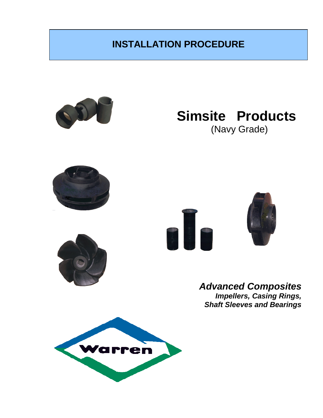# **INSTALLATION PROCEDURE**



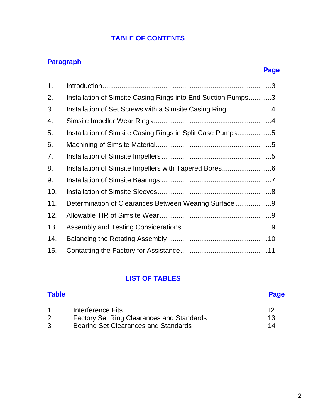### **TABLE OF CONTENTS**

### **Paragraph**

### **Page**

| 1.  |                                                              |  |
|-----|--------------------------------------------------------------|--|
| 2.  | Installation of Simsite Casing Rings into End Suction Pumps3 |  |
| 3.  | Installation of Set Screws with a Simsite Casing Ring4       |  |
| 4.  |                                                              |  |
| 5.  | Installation of Simsite Casing Rings in Split Case Pumps5    |  |
| 6.  |                                                              |  |
| 7.  |                                                              |  |
| 8.  |                                                              |  |
| 9.  |                                                              |  |
| 10. |                                                              |  |
| 11. | Determination of Clearances Between Wearing Surface9         |  |
| 12. |                                                              |  |
| 13. |                                                              |  |
| 14. |                                                              |  |
| 15. |                                                              |  |

### **LIST OF TABLES**

|   | Interference Fits                                | 12 |
|---|--------------------------------------------------|----|
|   | <b>Factory Set Ring Clearances and Standards</b> | 13 |
| 3 | Bearing Set Clearances and Standards             | 14 |

**Table Page**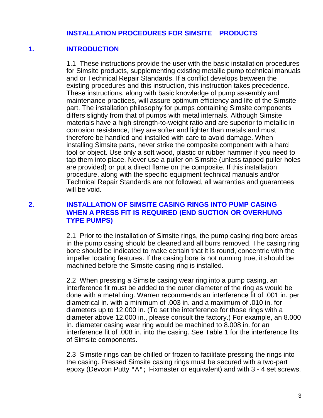#### **INSTALLATION PROCEDURES FOR SIMSITE PRODUCTS**

#### **1. INTRODUCTION**

1.1 These instructions provide the user with the basic installation procedures for Simsite products, supplementing existing metallic pump technical manuals and or Technical Repair Standards. If a conflict develops between the existing procedures and this instruction, this instruction takes precedence. These instructions, along with basic knowledge of pump assembly and maintenance practices, will assure optimum efficiency and life of the Simsite part. The installation philosophy for pumps containing Simsite components differs slightly from that of pumps with metal internals. Although Simsite materials have a high strength-to-weight ratio and are superior to metallic in corrosion resistance, they are softer and lighter than metals and must therefore be handled and installed with care to avoid damage. When installing Simsite parts, never strike the composite component with a hard tool or object. Use only a soft wood, plastic or rubber hammer if you need to tap them into place. Never use a puller on Simsite (unless tapped puller holes are provided) or put a direct flame on the composite. If this installation procedure, along with the specific equipment technical manuals and/or Technical Repair Standards are not followed, all warranties and guarantees will be void.

#### **2. INSTALLATION OF SIMSITE CASING RINGS INTO PUMP CASING WHEN A PRESS FIT IS REQUIRED (END SUCTION OR OVERHUNG TYPE PUMPS)**

2.1 Prior to the installation of Simsite rings, the pump casing ring bore areas in the pump casing should be cleaned and all burrs removed. The casing ring bore should be indicated to make certain that it is round, concentric with the impeller locating features. If the casing bore is not running true, it should be machined before the Simsite casing ring is installed.

2.2 When pressing a Simsite casing wear ring into a pump casing, an interference fit must be added to the outer diameter of the ring as would be done with a metal ring. Warren recommends an interference fit of .001 in. per diametrical in. with a minimum of .003 in. and a maximum of .010 in. for diameters up to 12.000 in. (To set the interference for those rings with a diameter above 12.000 in., please consult the factory.) For example, an 8.000 in. diameter casing wear ring would be machined to 8.008 in. for an interference fit of .008 in. into the casing. See Table 1 for the interference fits of Simsite components.

2.3 Simsite rings can be chilled or frozen to facilitate pressing the rings into the casing. Pressed Simsite casing rings must be secured with a two-part epoxy (Devcon Putty "A"; Fixmaster or equivalent) and with 3 - 4 set screws.

3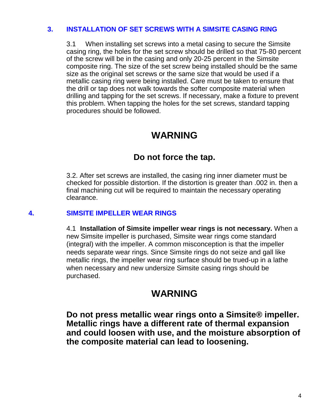#### **3. INSTALLATION OF SET SCREWS WITH A SIMSITE CASING RING**

3.1 When installing set screws into a metal casing to secure the Simsite casing ring, the holes for the set screw should be drilled so that 75-80 percent of the screw will be in the casing and only 20-25 percent in the Simsite composite ring. The size of the set screw being installed should be the same size as the original set screws or the same size that would be used if a metallic casing ring were being installed. Care must be taken to ensure that the drill or tap does not walk towards the softer composite material when drilling and tapping for the set screws. If necessary, make a fixture to prevent this problem. When tapping the holes for the set screws, standard tapping procedures should be followed.

### **WARNING**

### **Do not force the tap.**

3.2. After set screws are installed, the casing ring inner diameter must be checked for possible distortion. If the distortion is greater than .002 in. then a final machining cut will be required to maintain the necessary operating clearance.

#### **4. SIMSITE IMPELLER WEAR RINGS**

4.1 **Installation of Simsite impeller wear rings is not necessary.** When a new Simsite impeller is purchased, Simsite wear rings come standard (integral) with the impeller. A common misconception is that the impeller needs separate wear rings. Since Simsite rings do not seize and gall like metallic rings, the impeller wear ring surface should be trued-up in a lathe when necessary and new undersize Simsite casing rings should be purchased.

### **WARNING**

**Do not press metallic wear rings onto a Simsite® impeller. Metallic rings have a different rate of thermal expansion and could loosen with use, and the moisture absorption of the composite material can lead to loosening.**

4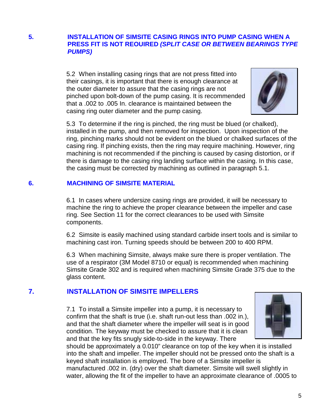#### **5. INSTALLATION OF SIMSITE CASING RINGS INTO PUMP CASING WHEN A PRESS FIT IS NOT REOUIRED** *(SPLIT CASE OR BETWEEN BEARINGS TYPE PUMPS)*

5.2 When installing casing rings that are not press fitted into their casings, it is important that there is enough clearance at the outer diameter to assure that the casing rings are not pinched upon bolt-down of the pump casing. It is recommended that a .002 to .005 In. clearance is maintained between the casing ring outer diameter and the pump casing.



5.3 To determine if the ring is pinched, the ring must be blued (or chalked), installed in the pump, and then removed for inspection. Upon inspection of the ring, pinching marks should not be evident on the blued or chalked surfaces of the casing ring. If pinching exists, then the ring may require machining. However, ring machining is not recommended if the pinching is caused by casing distortion, or if there is damage to the casing ring landing surface within the casing. In this case, the casing must be corrected by machining as outlined in paragraph 5.1.

#### **6. MACHINING OF SIMSITE MATERIAL**

6.1 In cases where undersize casing rings are provided, it will be necessary to machine the ring to achieve the proper clearance between the impeller and case ring. See Section 11 for the correct clearances to be used with Simsite components.

6.2 Simsite is easily machined using standard carbide insert tools and is similar to machining cast iron. Turning speeds should be between 200 to 400 RPM.

6.3 When machining Simsite, always make sure there is proper ventilation. The use of a respirator (3M Model 8710 or equal) is recommended when machining Simsite Grade 302 and is required when machining Simsite Grade 375 due to the glass content.

#### **7. INSTALLATION OF SIMSITE IMPELLERS**

7.1 To install a Simsite impeller into a pump, it is necessary to confirm that the shaft is true (i.e. shaft run-out less than .002 in.), and that the shaft diameter where the impeller will seat is in good condition. The keyway must be checked to assure that it is clean and that the key fits snugly side-to-side in the keyway. There



should be approximately a 0.010" clearance on top of the key when it is installed into the shaft and impeller. The impeller should not be pressed onto the shaft is a keyed shaft installation is employed. The bore of a Simsite impeller is manufactured .002 in. (dry) over the shaft diameter. Simsite will swell slightly in water, allowing the fit of the impeller to have an approximate clearance of .0005 to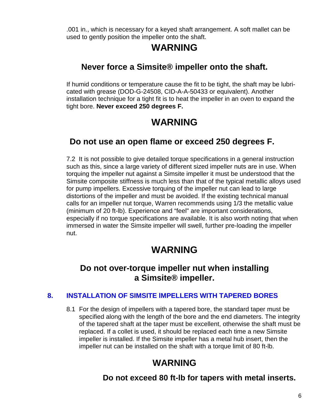.001 in., which is necessary for a keyed shaft arrangement. A soft mallet can be used to gently position the impeller onto the shaft.

# **WARNING**

### **Never force a Simsite® impeller onto the shaft.**

 If humid conditions or temperature cause the fit to be tight, the shaft may be lubricated with grease (DOD-G-24508, CID-A-A-50433 or equivalent). Another installation technique for a tight fit is to heat the impeller in an oven to expand the tight bore. **Never exceed 250 degrees F.**

# **WARNING**

### **Do not use an open flame or exceed 250 degrees F.**

7.2 It is not possible to give detailed torque specifications in a general instruction such as this, since a large variety of different sized impeller nuts are in use. When torquing the impeller nut against a Simsite impeller it must be understood that the Simsite composite stiffness is much less than that of the typical metallic alloys used for pump impellers. Excessive torquing of the impeller nut can lead to large distortions of the impeller and must be avoided. If the existing technical manual calls for an impeller nut torque, Warren recommends using 1/3 the metallic value (minimum of 20 ft-lb). Experience and "feel" are important considerations, especially if no torque specifications are available. It is also worth noting that when immersed in water the Simsite impeller will swell, further pre-loading the impeller nut.

# **WARNING**

### **Do not over-torque impeller nut when installing a Simsite® impeller.**

### **8. INSTALLATION OF SIMSITE lMPELLERS WITH TAPERED BORES**

8.1 For the design of impellers with a tapered bore, the standard taper must be specified along with the length of the bore and the end diameters. The integrity of the tapered shaft at the taper must be excellent, otherwise the shaft must be replaced. If a collet is used, it should be replaced each time a new Simsite impeller is installed. If the Simsite impeller has a metal hub insert, then the impeller nut can be installed on the shaft with a torque limit of 80 ft-lb.

# **WARNING**

### **Do not exceed 80 ft-lb for tapers with metal inserts.**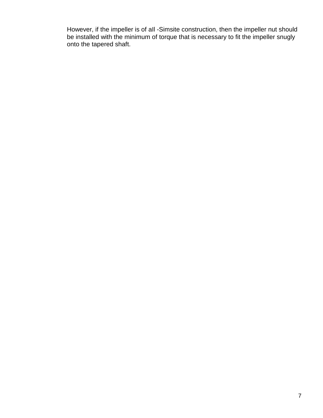However, if the impeller is of aIl -Simsite construction, then the impeller nut should be installed with the minimum of torque that is necessary to fit the impeller snugly onto the tapered shaft.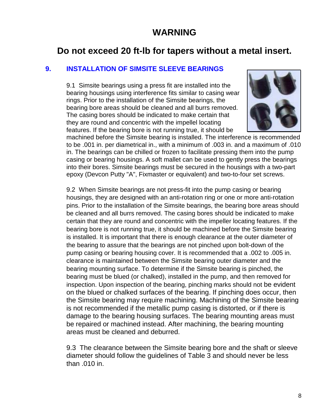### **WARNING**

### **Do not exceed 20 ft-lb for tapers without a metal insert.**

#### **9. INSTALLATION OF SIMSITE SLEEVE BEARINGS**

9.1 Simsite bearings using a press fit are installed into the bearing housings using interference fits similar to casing wear rings. Prior to the installation of the Simsite bearings, the bearing bore areas should be cleaned and all burrs removed. The casing bores should be indicated to make certain that they are round and concentric with the impellel locating features. If the bearing bore is not running true, it should be



machined before the Simsite bearing is installed. The interference is recommended to be .001 in. per diametrical in., with a minimum of .003 in. and a maximum of .010 in. The bearings can be chilled or frozen to facilitate pressing them into the pump casing or bearing housings. A soft mallet can be used to gently press the bearings into their bores. Simsite bearings must be secured in the housings with a two-part epoxy (Devcon Putty "A", Fixmaster or equivalent) and two-to-four set screws.

9.2 When Simsite bearings are not press-fit into the pump casing or bearing housings, they are designed with an anti-rotation ring or one or more anti-rotation pins. Prior to the installation of the Simsite bearings, the bearing bore areas should be cleaned and all burrs removed. The casing bores should be indicated to make certain that they are round and concentric with the impeller locating features. If the bearing bore is not running true, it should be machined before the Simsite bearing is installed. It is important that there is enough clearance at the outer diameter of the bearing to assure that the bearings are not pinched upon bolt-down of the pump casing or bearing housing cover. It is recommended that a .002 to .005 in. clearance is maintained between the Simsite bearing outer diameter and the bearing mounting surface. To determine if the Simsite bearing is pinched, the bearing must be blued (or chalked), installed in the pump, and then removed for inspection. Upon inspection of the bearing, pinching marks should not be evident on the blued or chalked surfaces of the bearing. If pinching does occur, then the Simsite bearing may require machining. Machining of the Simsite bearing is not recommended if the metallic pump casing is distorted, or if there is damage to the bearing housing surfaces. The bearing mounting areas must be repaired or machined instead. After machining, the bearing mounting areas must be cleaned and deburred.

9.3 The clearance between the Simsite bearing bore and the shaft or sleeve diameter should follow the guidelines of Table 3 and should never be less than .010 in.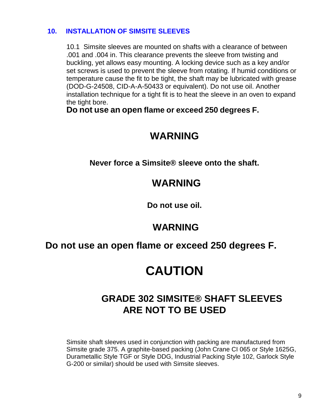### **10. INSTALLATION OF SIMSITE SLEEVES**

10.1 Simsite sleeves are mounted on shafts with a clearance of between .001 and .004 in. This clearance prevents the sleeve from twisting and buckling, yet allows easy mounting. A locking device such as a key and/or set screws is used to prevent the sleeve from rotating. If humid conditions or temperature cause the fit to be tight, the shaft may be lubricated with grease (DOD-G-24508, CID-A-A-50433 or equivalent). Do not use oil. Another installation technique for a tight fit is to heat the sleeve in an oven to expand the tight bore.

**Do not use an open flame or exceed 250 degrees F.**

# **WARNING**

**Never force a Simsite® sleeve onto the shaft.**

# **WARNING**

**Do not use oil.**

## **WARNING**

### **Do not use an open flame or exceed 250 degrees F.**

# **CAUTION**

# **GRADE 302 SIMSITE® SHAFT SLEEVES ARE NOT TO BE USED**

Simsite shaft sleeves used in conjunction with packing are manufactured from Simsite grade 375. A graphite-based packing (John Crane CI 065 or Style 1625G, Durametallic Style TGF or Style DDG, Industrial Packing Style 102, Garlock Style G-200 or similar) should be used with Simsite sleeves.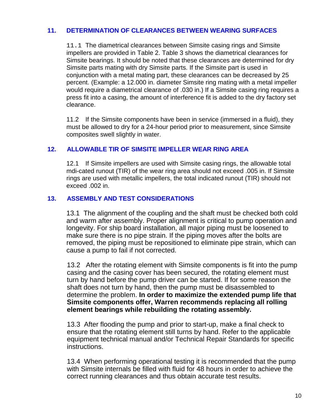#### **11. DETERMINATION OF CLEARANCES BETWEEN WEARING SURFACES**

11.1 The diametrical clearances between Simsite casing rings and Simsite impellers are provided in Table 2. Table 3 shows the diametrical clearances for Simsite bearings. It should be noted that these clearances are determined for dry Simsite parts mating with dry Simsite parts. If the Simsite part is used in conjunction with a metal mating part, these clearances can be decreased by 25 percent. (Example: a 12.000 in. diameter Simsite ring mating with a metal impeller would require a diametrical clearance of .030 in.) If a Simsite casing ring requires a press fit into a casing, the amount of interference fit is added to the dry factory set clearance.

11.2 If the Simsite components have been in service (immersed in a fluid), they must be allowed to dry for a 24-hour period prior to measurement, since Simsite composites swell slightly in water.

#### **12. ALLOWABLE TIR OF SIMSITE IMPELLER WEAR RING AREA**

12.1 If Simsite impellers are used with Simsite casing rings, the allowable total mdi-cated runout (TIR) of the wear ring area should not exceed .005 in. If Simsite rings are used with metallic impellers, the total indicated runout (TIR) should not exceed .002 in.

#### **13. ASSEMBLY AND TEST CONSIDERATIONS**

13.1 The alignment of the coupling and the shaft must be checked both cold and warm after assembly. Proper alignment is critical to pump operation and longevity. For ship board installation, all major piping must be loosened to make sure there is no pipe strain. If the piping moves after the bolts are removed, the piping must be repositioned to eliminate pipe strain, which can cause a pump to fail if not corrected.

13.2 After the rotating element with Simsite components is fit into the pump casing and the casing cover has been secured, the rotating element must turn by hand before the pump driver can be started. If for some reason the shaft does not turn by hand, then the pump must be disassembled to determine the problem. **In order to maximize the extended pump life that Simsite components offer, Warren recommends replacing all rolling element bearings while rebuilding the rotating assembly.**

13.3 After flooding the pump and prior to start-up, make a final check to ensure that the rotating element still turns by hand. Refer to the applicable equipment technical manual and/or Technical Repair Standards for specific instructions.

13.4 When performing operational testing it is recommended that the pump with Simsite internals be filled with fluid for 48 hours in order to achieve the correct running clearances and thus obtain accurate test results.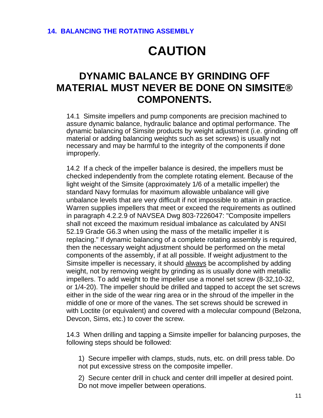# **CAUTION**

# **DYNAMIC BALANCE BY GRINDING OFF MATERIAL MUST NEVER BE DONE ON SIMSITE® COMPONENTS.**

14.1 Simsite impellers and pump components are precision machined to assure dynamic balance, hydraulic balance and optimal performance. The dynamic balancing of Simsite products by weight adjustment (i.e. grinding off material or adding balancing weights such as set screws) is usually not necessary and may be harmful to the integrity of the components if done improperly.

14.2 If a check of the impeller balance is desired, the impellers must be checked independently from the complete rotating element. Because of the light weight of the Simsite (approximately 1/6 of a metallic impeller) the standard Navy formulas for maximum allowable unbalance will give unbalance levels that are very difficult if not impossible to attain in practice. Warren supplies impellers that meet or exceed the requirements as outlined in paragraph 4.2.2.9 of NAVSEA Dwg 803-7226047: "Composite impellers shall not exceed the maximum residual imbalance as calculated by ANSI 52.19 Grade G6.3 when using the mass of the metallic impeller it is replacing." If dynamic balancing of a complete rotating assembly is required, then the necessary weight adjustment should be performed on the metal components of the assembly, if at all possible. If weight adjustment to the Simsite impeller is necessary, it should always be accomplished by adding weight, not by removing weight by grinding as is usually done with metallic impellers. To add weight to the impeller use a monel set screw (8-32,10-32, or 1/4-20). The impeller should be drilled and tapped to accept the set screws either in the side of the wear ring area or in the shroud of the impeller in the middle of one or more of the vanes. The set screws should be screwed in with Loctite (or equivalent) and covered with a molecular compound (Belzona, Devcon, Sims, etc.) to cover the screw.

14.3 When drilling and tapping a Simsite impeller for balancing purposes, the following steps should be followed:

1) Secure impeller with clamps, studs, nuts, etc. on drill press table. Do not put excessive stress on the composite impeller.

2) Secure center drill in chuck and center drill impeller at desired point. Do not move impeller between operations.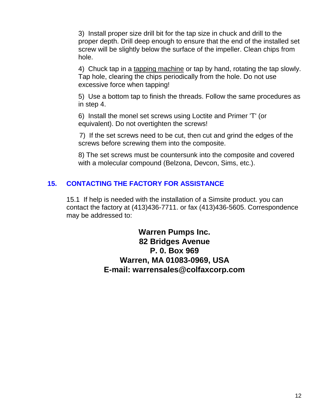3) Install proper size drill bit for the tap size in chuck and drill to the proper depth. Drill deep enough to ensure that the end of the installed set screw will be slightly below the surface of the impeller. Clean chips from hole.

4) Chuck tap in a tapping machine or tap by hand, rotating the tap slowly. Tap hole, clearing the chips periodically from the hole. Do not use excessive force when tapping!

5) Use a bottom tap to finish the threads. Follow the same procedures as in step 4.

6) Install the monel set screws using Loctite and Primer 'T' (or equivalent). Do not overtighten the screws!

7) If the set screws need to be cut, then cut and grind the edges of the screws before screwing them into the composite.

8) The set screws must be countersunk into the composite and covered with a molecular compound (Belzona, Devcon, Sims, etc.).

### **15. CONTACTING THE FACTORY FOR ASSISTANCE**

15.1 If help is needed with the installation of a Simsite product. you can contact the factory at (413)436-7711. or fax (413)436-5605. Correspondence may be addressed to:

> **Warren Pumps Inc. 82 Bridges Avenue P. 0. Box 969 Warren, MA 01083-0969, USA E-mail: warrensales@colfaxcorp.com**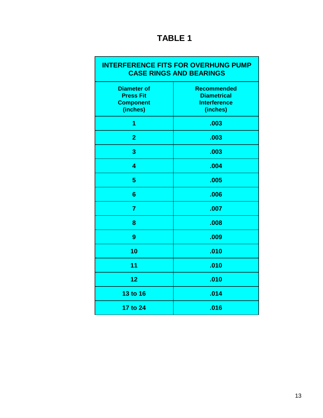# **TABLE 1**

| <b>INTERFERENCE FITS FOR OVERHUNG PUMP</b><br><b>CASE RINGS AND BEARINGS</b> |                                                                             |  |
|------------------------------------------------------------------------------|-----------------------------------------------------------------------------|--|
| <b>Diameter of</b><br><b>Press Fit</b><br><b>Component</b><br>(inches)       | <b>Recommended</b><br><b>Diametrical</b><br><b>Interference</b><br>(inches) |  |
| 1                                                                            | .003                                                                        |  |
| $\overline{2}$                                                               | .003                                                                        |  |
| 3                                                                            | .003                                                                        |  |
| 4                                                                            | .004                                                                        |  |
| 5                                                                            | .005                                                                        |  |
| 6                                                                            | .006                                                                        |  |
| $\overline{7}$                                                               | .007                                                                        |  |
| 8                                                                            | .008                                                                        |  |
| 9                                                                            | .009                                                                        |  |
| 10                                                                           | .010                                                                        |  |
| 11                                                                           | .010                                                                        |  |
| 12                                                                           | .010                                                                        |  |
| <b>13 to 16</b>                                                              | .014                                                                        |  |
| 17 to 24                                                                     | .016                                                                        |  |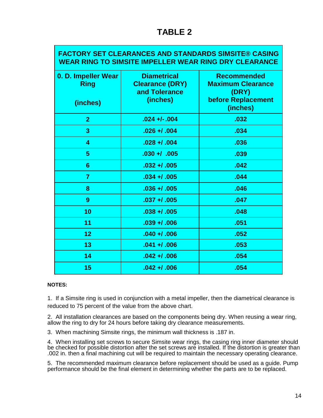### **TABLE 2**

#### **FACTORY SET CLEARANCES AND STANDARDS SlMSITE® CASING WEAR RING TO SIMSITE IMPELLER WEAR RING DRY CLEARANCE**

| 0. D. Impeller Wear<br><b>Ring</b><br>(inches) | <b>Diametrical</b><br><b>Clearance (DRY)</b><br>and Tolerance<br>(inches) | <b>Recommended</b><br><b>Maximum Clearance</b><br>(DRY)<br>before Replacement<br>(inches) |
|------------------------------------------------|---------------------------------------------------------------------------|-------------------------------------------------------------------------------------------|
| $\overline{2}$                                 | $.024 +1.004$                                                             | .032                                                                                      |
| 3                                              | $.026 + 0.004$                                                            | .034                                                                                      |
| 4                                              | $.028 + 0.004$                                                            | .036                                                                                      |
| $\overline{5}$                                 | $.030 + / .005$                                                           | .039                                                                                      |
| 6                                              | $.032 + 0.005$                                                            | .042                                                                                      |
| 7                                              | $.034 + 0.005$                                                            | .044                                                                                      |
| 8                                              | $.036 + 0.005$                                                            | .046                                                                                      |
| 9                                              | $.037 + 0.005$                                                            | .047                                                                                      |
| 10                                             | $.038 + 0.005$                                                            | .048                                                                                      |
| 11                                             | $.039 + 0.006$                                                            | .051                                                                                      |
| 12                                             | $.040 + 0.006$                                                            | .052                                                                                      |
| 13                                             | $.041 + 0.006$                                                            | .053                                                                                      |
| 14                                             | $.042 + 0.006$                                                            | .054                                                                                      |
| 15                                             | $.042 + 0.006$                                                            | .054                                                                                      |

#### **NOTES:**

1. If a Simsite ring is used in conjunction with a metal impeller, then the diametrical clearance is reduced to 75 percent of the value from the above chart.

2. All installation clearances are based on the components being dry. When reusing a wear ring, allow the ring to dry for 24 hours before taking dry clearance measurements.

3. When machining Simsite rings, the minimum wall thickness is .187 in.

4. When installing set screws to secure Simsite wear rings, the casing ring inner diameter should be checked for possible distortion after the set screws are installed. If the distortion is greater than .002 in. then a final machining cut will be required to maintain the necessary operating clearance.

5. The recommended maximum clearance before replacement should be used as a guide. Pump performance should be the final element in determining whether the parts are to be replaced.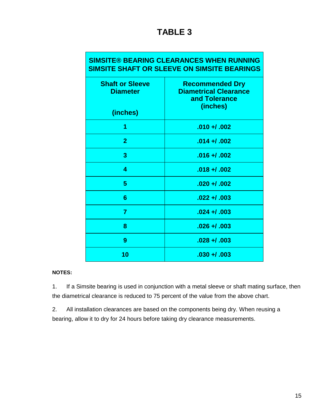| <b>SIMSITE® BEARING CLEARANCES WHEN RUNNING</b><br>SIMSITE SHAFT OR SLEEVE ON SIMSITE BEARINGS |                                                                                     |  |
|------------------------------------------------------------------------------------------------|-------------------------------------------------------------------------------------|--|
| <b>Shaft or Sleeve</b><br><b>Diameter</b>                                                      | <b>Recommended Dry</b><br><b>Diametrical Clearance</b><br>and Tolerance<br>(inches) |  |
| (inches)                                                                                       |                                                                                     |  |
| 1                                                                                              | $.010 + 0.002$                                                                      |  |
| $\overline{2}$                                                                                 | $.014 + 0.002$                                                                      |  |
| 3                                                                                              | $.016 + 0.002$                                                                      |  |
| 4                                                                                              | $.018 + 0.002$                                                                      |  |
| 5                                                                                              | $.020 + 0.002$                                                                      |  |
| 6                                                                                              | $.022 + 0.003$                                                                      |  |
| $\overline{7}$                                                                                 | $.024 + 0.003$                                                                      |  |
| 8                                                                                              | $.026 + 0.003$                                                                      |  |
| 9                                                                                              | $.028 + 0.003$                                                                      |  |
| 10                                                                                             | $.030 + 0.003$                                                                      |  |

#### **NOTES:**

1. If a Simsite bearing is used in conjunction with a metal sleeve or shaft mating surface, then the diametrical clearance is reduced to 75 percent of the value from the above chart.

2. All installation clearances are based on the components being dry. When reusing a bearing, allow it to dry for 24 hours before taking dry clearance measurements.